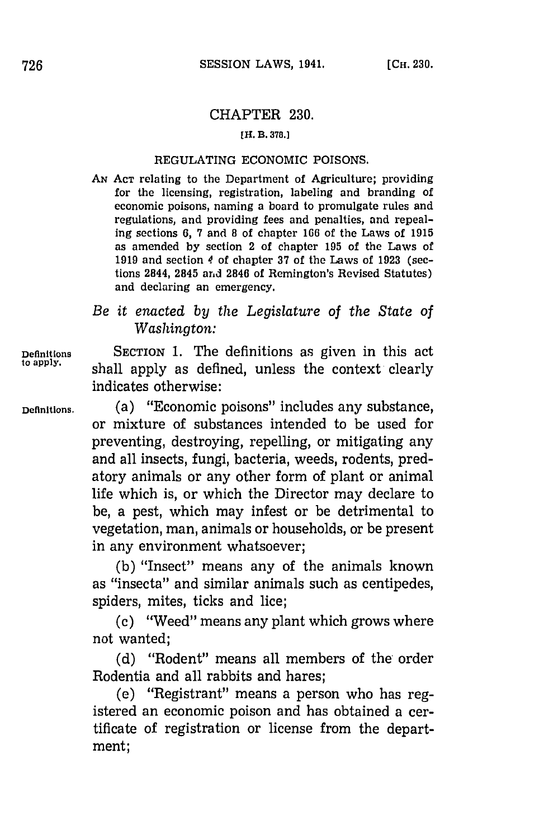## CHAPTER **230.**

## **[H. B. 378.]**

## REGULATING ECONOMIC POISONS.

**AN ACT** relating to the Department of Agriculture; providing for the licensing, registration, labeling and branding of economic poisons, naming a board to promulgate rules and regulations, and providing fees and penalties, and repealing sections **6, 7** and **8** of chapter **166** of the Laws of **1915** as amended **by** section 2 of chapter **195** of the Laws of **1919** and section 4 of chapter **37** of the Laws of **1923** (sections 2844, 2845 and 2846 of Remington's Revised Statutes) and declaring an emergency.

## *Be it enacted by the Legislature of the State of Washington:*

**Definitions** SECTION **1.** The definitions as given in this act shall apply as defined, unless the context clearly indicates otherwise:

**Definitions.** (a) "Economic poisons" includes any substance, or mixture of substances intended to be used for preventing, destroying, repelling, or mitigating any and all insects, fungi, bacteria, weeds, rodents, predatory animals or any other form of plant or animal life which is, or which the Director may declare to be, a pest, which may infest or be detrimental to vegetation, man, animals or households, or be present in any environment whatsoever;

> **(b)** "Insect" means any of the animals known as "insecta" and similar animals such as centipedes, spiders, mites, ticks and lice;

> **(c)** "Weed" means any plant which grows where not wanted;

> **(d)** "Rodent" means all members of the- order Rodentia and all rabbits and hares;

> (e) "Registrant" means a person who has registered an economic poison and has obtained a certificate of registration or license from the department;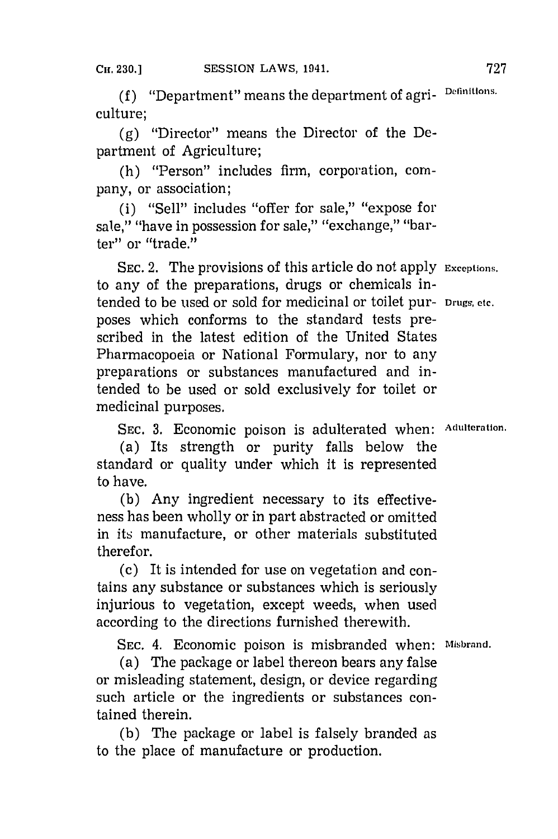**(f)** "Department" means the department of agri- **Definitions.** culture;

**(g)** "Director" means the Director of the Department of Agriculture;

(h) "Person" includes *firm,* corporation, company, or association;

 $(i)$  "Sell" includes "offer for sale," "expose for sale," "have in possession for sale," "exchange," "barter" or "trade."

**SEC.** 2. The provisions of this article do not apply **Exceptions,** to any of the preparations, drugs or chemicals intended to be used or sold for medicinal or toilet pur- **Drugs, etc.** poses which conforms to the standard tests prescribed in the latest edition of the United States Pharmacopoeia or National Formulary, nor to any preparations or substances manufactured and intended to be used or sold exclusively for toilet or medicinal purposes.

**SEC. 3.** Economic poison is adulterated when: **Adulteration.**

(a) Its strength or purity falls below the standard or quality under which it is represented to have.

**(b)** Any ingredient necessary to its effectiveness has been wholly or in part abstracted or omitted in its manufacture, or other materials substituted therefor.

(c) It is intended for use on vegetation and contains any substance or substances which is seriously iniurious to vegetation, except weeds, when used according to the directions furnished therewith.

**SEC.** 4. Economic poison is misbranded when: **Misbrand.**

(a) The package or label thereon bears any false or misleading statement, design, or device regarding such article or the ingredients or substances contained therein.

**(b)** The package or label is falsely branded as to the place of manufacture or production.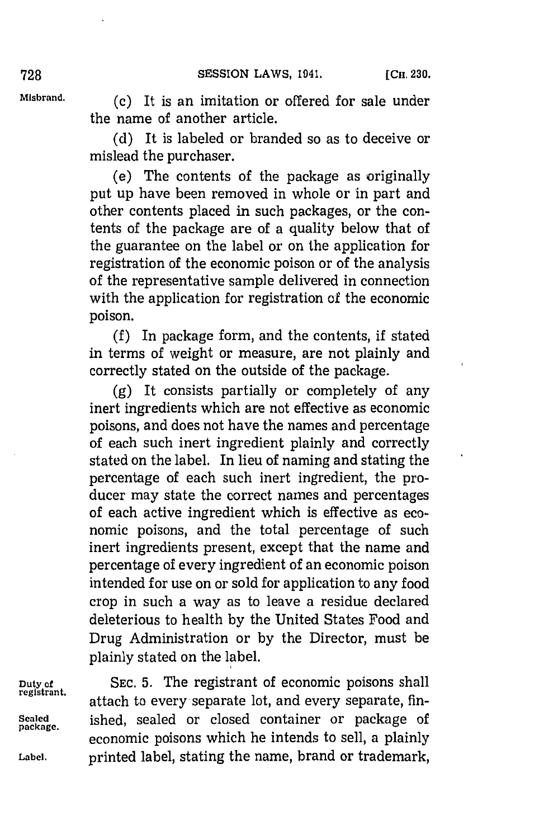**Misbrand. (c)** It is an imitation or offered for sale under the name of another article.

> **(d)** It is labeled or branded so as to deceive or mislead the purchaser.

> (e) The contents of the package as originally put up have been removed in whole or in part and other contents placed in such packages, or the contents of the package are of a quality below that of the guarantee on the label or on the application for registration of the economic poison or of the analysis of the representative sample delivered in connection with the application for registration **of** the economic poison.

> **(f)** In package form, and the contents, if stated in terms of weight or measure, are not plainly and correctly stated on the outside of the package.

> **(g)** It consists partially or completely of any inert ingredients which are not effective as economic poisons, and does not have the names and percentage of each such inert ingredient plainly and correctly stated on the label. In lieu of naming and stating the percentage of each such inert ingredient, the producer may state the correct names and percentages of each active ingredient which is effective as economic poisons, and the total percentage of such inert ingredients present, except that the name and percentage of every ingredient of an economic poison intended for use on or sold for application to any food crop in such a way as to leave a residue declared deleterious to health **by** the United States Food and Drug Administration or **by** the Director, must be plainly stated on the label.

**Duty** of **SEC. 5.** The registrant of economic poisons shall attach to every separate lot, and every separate, fin-Sealed **ished, sealed or closed container or package of** economic poisons which he intends to sell, a plainly **Label,** printed label, stating the name, brand or trademark,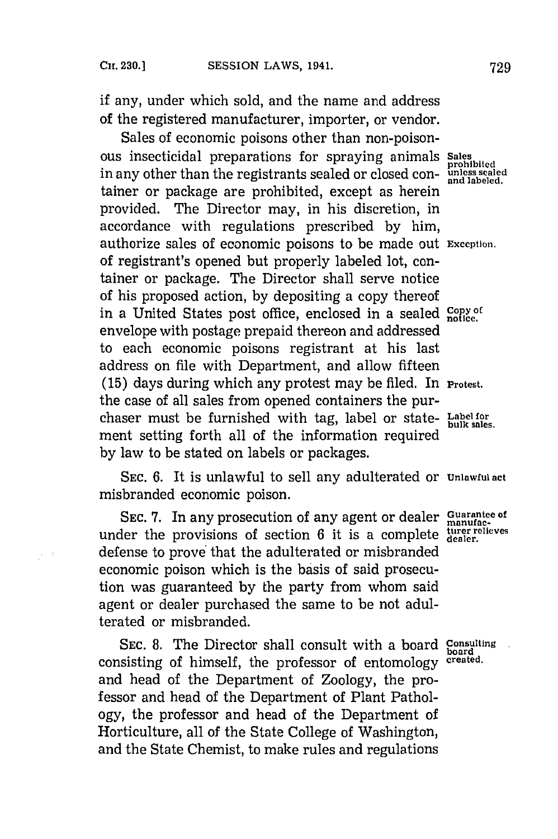if any, under which sold, and the name and address of the registered manufacturer, importer, or vendor.

Sales of economic poisons other than non-poisonous insecticidal preparations for spraying animals **Sales** in any other than the registrants sealed or closed container or package are prohibited, except as herein provided. The Director may, in his discretion, in accordance with regulations prescribed **by** him, authorize sales of economic poisons to be made out **Exception.** of registrant's opened but properly labeled lot, container or package. The Director shall serve notice of his proposed action, **by** depositing a copy thereof in a United States post office, enclosed in a sealed Copy of envelope with postage prepaid thereon and addressed to each economic poisons registrant at his last address on file with Department, and allow fifteen **(15)** days during which any protest may be filed. In **Protest.** the case of all sales from opened containers the purchaser must be furnished with tag, label or state- **Label for** ment setting forth all of the information required **by** law to be stated on labels or packages.

**SEC. 6.** It is unlawful to sell any adulterated or **Unlawful act** misbranded economic poison.

**SEC. 7.** In any prosecution of any agent or dealer **Guarantee of** under the provisions of section 6 it is a complete dealer. defense to prove'that the adulterated or misbranded economic poison which is the basis of said prosecution was guaranteed **by** the party from whom said agent or dealer purchased the same to be not adulterated or misbranded.

**SEC. 8.** The Director shall consult with a board **Consulting** board **board board board board board board board board board board board board board board board board board board board** consisting of himself, the professor of entomology and head of the Department of Zoology, the professor and head of the Department of Plant Pathology, the professor and head of the Department of Horticulture, all of the State College of Washington, and the State Chemist, to make rules and regulations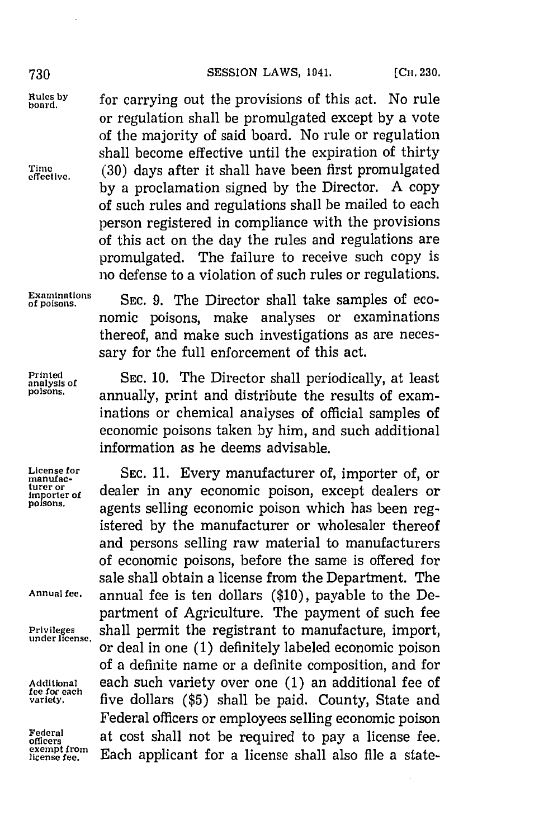Rules by for carrying out the provisions of this act. No rule or regulation shall be promulgated except **by** a vote of the majority of said board. No rule or regulation shall become effective until the expiration of thirty Time **(30)** days after it shall have been first promulgated **by** a proclamation signed **by** the Director. **A** copy of such rules and regulations shall be mailed to each person registered in compliance with the provisions of this act on the day the rules and regulations are promulgated. The failure to receive such copy is **no** defense to a violation of such rules or regulations.

Examinations SEC. 9. The Director shall take samples of economic poisons, make analyses or examinations thereof, and make such investigations as are necessary for the full enforcement of this act.

**fee for each**

Printed SEC. 10. The Director shall periodically, at least *poisons,* annually, print and distribute the results of examinations or chemical analyses of official samples of economic poisons taken **by** him, and such additional information as he deems advisable.

License for **SEC. 11. Every manufacturer of, importer of, or** manufacturer or dealer in any economic poison, except dealers or **ns.** agents selling economic poison which has been registered **by** the manufacturer or wholesaler thereof and persons selling raw material to manufacturers of economic poisons, before the same is offered for sale shall obtain a license from the Department. The **Annual fee.** annual fee is ten dollars **(\$10),** payable to the Department of Agriculture. The payment of such fee **Privyileges** shall permit the registrant to manufacture, import, or deal in one (1) definitely labeled economic poison of a definite name or a definite composition, and for **Additional** each such variety over one **(1)** an additional fee of five dollars (\$5) shall be paid. County, State and Federal officers or employees selling economic poison Federal at cost shall not be required to pay a license fee. exempt from Each applicant for a license shall also file a state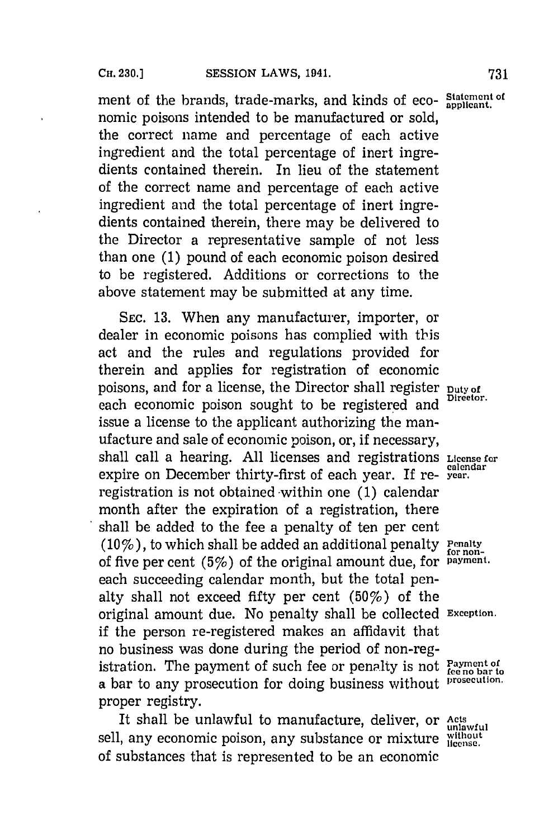ment of the brands, trade-marks, and kinds of eco- Statement of nomic poisons intended to be manufactured or sold, the correct niame and percentage of each active ingredient and the total percentage of inert ingredients contained therein. In lieu of the statement of the correct name and percentage of each active ingredient and the total percentage of inert ingredients contained therein, there may be delivered to the Director a representative sample of not less than one **(1)** pound of each economic poison desired to be registered. Additions or corrections to the above statement may be submitted at any time.

**SEc. 13.** When any manufacturer, importer, or dealer in economic poisons has complied with this act and the rules and regulations provided for therein and applies for registration of economic poisons, and for a license, the Director shall register puty of Director. each economic poison sought to be registered and issue a license to the applicant authorizing the manufacture and sale of economic poison, or, if necessary, shall call a hearing. **All** licenses and registrations **License for** expire on December thirty-first of each year. If re- **year.** registration is not obtained -within one **(1)** calendar month after the expiration of a registration, there shall be added to the fee a penalty of ten per cent *(10%)*, to which shall be added an additional penalty Penalty for nonof five per cent (5%) of the original amount due, for **payment.** each succeeding calendar month, but the total penalty shall not exceed fifty per cent  $(50\%)$  of the original amount due. No penalty shall be collected **Exception.** if the person re-registered makes an affidavit that no business was done during the period of non-registration. The payment of such fee or penalty is not  $P_{\text{asyment of}}$ <br>a bar to any prosecution for doing business without  $P_{\text{res}}$ a bar to any prosecution for doing business without proper registry.

It shall be unlawful to manufacture, deliver, or Acts sell, any economic poison, any substance or mixture  $\frac{\text{without}}{\text{license}}$ of substances that is represented to be an economic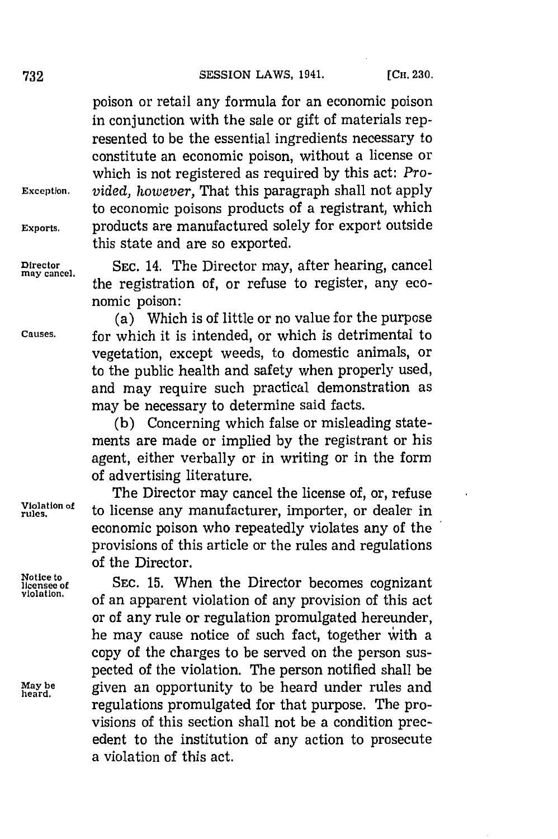poison or retail any formula for an economic poison in conjunction with the sale or gift of materials represented to be the essential ingredients necessary to constitute an economic poison, without a license or which is not registered as required **by** this act: *Pro-***Exception.** *vided, however,* That this paragraph shall not apply to economic poisons products of a registrant, which **Exports.** products are manufactured solely for export outside this state and are so exported.

**may cancel.**

**Director SEC.** 14. The Director may, after hearing, cancel the registration of, or refuse to register, any economic poison:

(a) Which is of little or no value for the purpose **Causes,** for which it is intended, or which is detrimental to vegetation, except weeds, to domestic animals, or to the public health and safety when properly used, and may require such practical demonstration as may be necessary to determine said facts.

> **(b)** Concerning which false or misleading statements are made or implied **by** the registrant or his agent, either verbally or in writing or in the form of advertising literature.

The Director may cancel the license of, or, refuse **Violation of** to license any manufacturer, importer, or dealer in economic poison who repeatedly violates any of the provisions of this article or the rules and regulations of the Director.

**Notice to** teDrco eoe **licensee of SEC. 15.** When th ietrbcmscognizant vioatin. of an apparent violation of any provision of this act or of any rule or regulation promulgated hereunder, he may cause notice of such fact, together with a copy of the charges to be served on the person suspected of the violation. The person notified shall be May be **given an opportunity to be heard under rules and** regulations promulgated for that purpose. The provisions of this section shall not be a condition precedent to the institution of any action to prosecute a violation of this act.